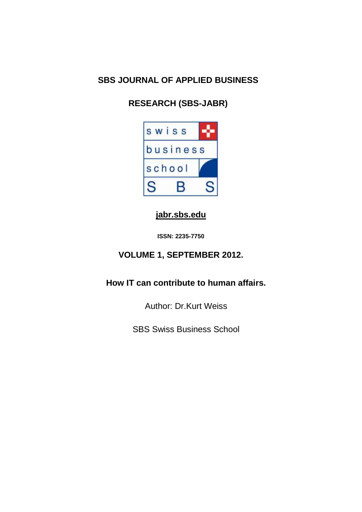## **SBS JOURNAL OF APPLIED BUSINESS**

# **RESEARCH (SBS-JABR)**



## **[jabr.sbs.edu](http://www.jabr.sbs.edu/)**

**ISSN: 2235-7750**

## **VOLUME 1, SEPTEMBER 2012.**

**How IT can contribute to human affairs.** 

Author: Dr.Kurt Weiss

SBS Swiss Business School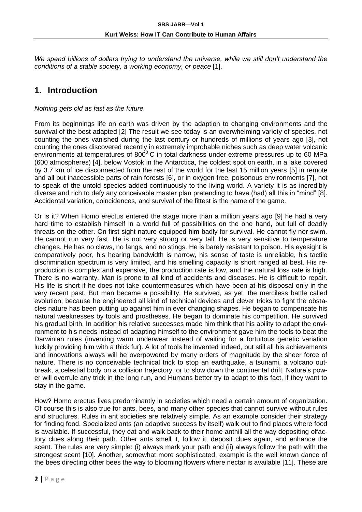We spend billions of dollars trying to understand the universe, while we still don't understand the *conditions of a stable society, a working economy, or peace* [1].

### **1. Introduction**

*Nothing gets old as fast as the future.*

From its beginnings life on earth was driven by the adaption to changing environments and the survival of the best adapted [2] The result we see today is an overwhelming variety of species, not counting the ones vanished during the last century or hundreds of millions of years ago [3], not counting the ones discovered recently in extremely improbable niches such as deep water volcanic environments at temperatures of  $800^{\circ}$  C in total darkness under extreme pressures up to 60 MPa (600 atmospheres) [4], below Vostok in the Antarctica, the coldest spot on earth, in a lake covered by 3.7 km of ice disconnected from the rest of the world for the last 15 million years [5] in remote and all but inaccessible parts of rain forests [6], or in oxygen free, poisonous environments [7], not to speak of the untold species added continuously to the living world. A variety it is as incredibly diverse and rich to defy any conceivable master plan pretending to have (had) all this in "mind" [8]. Accidental variation, coincidences, and survival of the fittest is the name of the game.

Or is it? When Homo erectus entered the stage more than a million years ago [9] he had a very hard time to establish himself in a world full of possibilities on the one hand, but full of deadly threats on the other. On first sight nature equipped him badly for survival. He cannot fly nor swim. He cannot run very fast. He is not very strong or very tall. He is very sensitive to temperature changes. He has no claws, no fangs, and no stings. He is barely resistant to poison. His eyesight is comparatively poor, his hearing bandwidth is narrow, his sense of taste is unreliable, his tactile discrimination spectrum is very limited, and his smelling capacity is short ranged at best. His reproduction is complex and expensive, the production rate is low, and the natural loss rate is high. There is no warranty. Man is prone to all kind of accidents and diseases. He is difficult to repair. His life is short if he does not take countermeasures which have been at his disposal only in the very recent past. But man became a possibility. He survived, as yet, the merciless battle called evolution, because he engineered all kind of technical devices and clever tricks to fight the obstacles nature has been putting up against him in ever changing shapes. He began to compensate his natural weaknesses by tools and prostheses. He began to dominate his competition. He survived his gradual birth. In addition his relative successes made him think that his ability to adapt the environment to his needs instead of adapting himself to the environment gave him the tools to beat the Darwinian rules (inventing warm underwear instead of waiting for a fortuitous genetic variation luckily providing him with a thick fur). A lot of tools he invented indeed, but still all his achievements and innovations always will be overpowered by many orders of magnitude by the sheer force of nature. There is no conceivable technical trick to stop an earthquake, a tsunami, a volcano outbreak, a celestial body on a collision trajectory, or to slow down the continental drift. Nature's power will overrule any trick in the long run, and Humans better try to adapt to this fact, if they want to stay in the game.

How? Homo erectus lives predominantly in societies which need a certain amount of organization. Of course this is also true for ants, bees, and many other species that cannot survive without rules and structures. Rules in ant societies are relatively simple. As an example consider their strategy for finding food. Specialized ants (an adaptive success by itself) walk out to find places where food is available. If successful, they eat and walk back to their home anthill all the way depositing olfactory clues along their path. Other ants smell it, follow it, deposit clues again, and enhance the scent. The rules are very simple: (i) always mark your path and (ii) always follow the path with the strongest scent [10]. Another, somewhat more sophisticated, example is the well known dance of the bees directing other bees the way to blooming flowers where nectar is available [11]. These are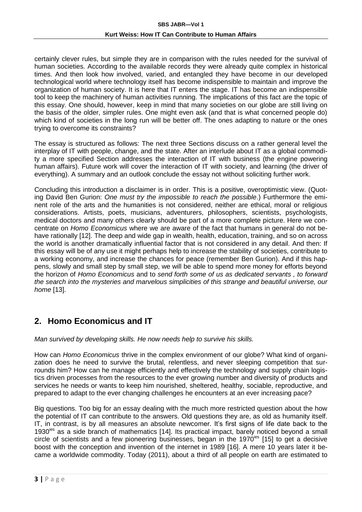certainly clever rules, but simple they are in comparison with the rules needed for the survival of human societies. According to the available records they were already quite complex in historical times. And then look how involved, varied, and entangled they have become in our developed technological world where technology itself has become indispensible to maintain and improve the organization of human society. It is here that IT enters the stage. IT has become an indispensible tool to keep the machinery of human activities running. The implications of this fact are the topic of this essay. One should, however, keep in mind that many societies on our globe are still living on the basis of the older, simpler rules. One might even ask (and that is what concerned people do) which kind of societies in the long run will be better off. The ones adapting to nature or the ones trying to overcome its constraints?

The essay is structured as follows: The next three Sections discuss on a rather general level the interplay of IT with people, change, and the state. After an interlude about IT as a global commodity a more specified Section addresses the interaction of IT with business (the engine powering human affairs). Future work will cover the interaction of IT with society, and learning (the driver of everything). A summary and an outlook conclude the essay not without soliciting further work.

Concluding this introduction a disclaimer is in order. This is a positive, overoptimistic view. (Quoting David Ben Gurion: *One must try the impossible to reach the possible*.) Furthermore the eminent role of the arts and the humanities is not considered, neither are ethical, moral or religious considerations. Artists, poets, musicians, adventurers, philosophers, scientists, psychologists, medical doctors and many others clearly should be part of a more complete picture. Here we concentrate on *Homo Economicus* where we are aware of the fact that humans in general do not behave rationally [12]. The deep and wide gap in wealth, health, education, training, and so on across the world is another dramatically influential factor that is not considered in any detail. And then: If this essay will be of any use it might perhaps help to increase the stability of societies, contribute to a working economy, and increase the chances for peace (remember Ben Gurion). And if this happens, slowly and small step by small step, we will be able to spend more money for efforts beyond the horizon of *Homo Economicus* and to *send forth some of us as dedicated servants , to forward the search into the mysteries and marvelous simplicities of this strange and beautiful universe, our home* [13].

### **2. Homo Economicus and IT**

*Man survived by developing skills. He now needs help to survive his skills.*

How can *Homo Economicus* thrive in the complex environment of our globe? What kind of organization does he need to survive the brutal, relentless, and never sleeping competition that surrounds him? How can he manage efficiently and effectively the technology and supply chain logistics driven processes from the resources to the ever growing number and diversity of products and services he needs or wants to keep him nourished, sheltered, healthy, sociable, reproductive, and prepared to adapt to the ever changing challenges he encounters at an ever increasing pace?

Big questions. Too big for an essay dealing with the much more restricted question about the how the potential of IT can contribute to the answers. Old questions they are, as old as humanity itself. IT, in contrast, is by all measures an absolute newcomer. It's first signs of life date back to the 1930<sup>ies</sup> as a side branch of mathematics [14]. Its practical impact, barely noticed beyond a small circle of scientists and a few pioneering businesses, began in the 1970<sup>ies</sup> [15] to get a decisive boost with the conception and invention of the internet in 1989 [16]. A mere 10 years later it became a worldwide commodity. Today (2011), about a third of all people on earth are estimated to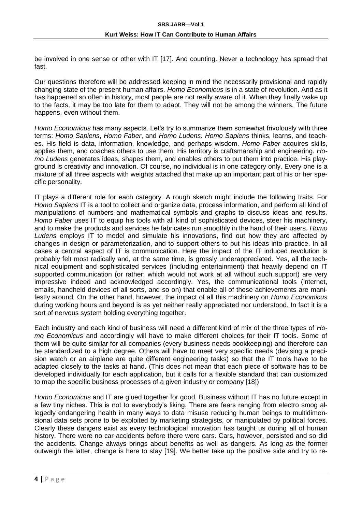be involved in one sense or other with IT [17]. And counting. Never a technology has spread that fast.

Our questions therefore will be addressed keeping in mind the necessarily provisional and rapidly changing state of the present human affairs. *Homo Economicus* is in a state of revolution. And as it has happened so often in history, most people are not really aware of it. When they finally wake up to the facts, it may be too late for them to adapt. They will not be among the winners. The future happens, even without them.

*Homo Economicus* has many aspects. Let's try to summarize them somewhat frivolously with three terms: *Homo Sapiens*, *Homo Faber*, and *Homo Ludens. Homo Sapiens* thinks, learns, and teaches. His field is data, information, knowledge, and perhaps wisdom. *Homo Faber* acquires skills, applies them, and coaches others to use them. His territory is craftsmanship and engineering. *Homo Ludens* generates ideas, shapes them, and enables others to put them into practice. His playground is creativity and innovation. Of course, no individual is in one category only. Every one is a mixture of all three aspects with weights attached that make up an important part of his or her specific personality.

IT plays a different role for each category. A rough sketch might include the following traits. For *Homo Sapiens* IT is a tool to collect and organize data, process information, and perform all kind of manipulations of numbers and mathematical symbols and graphs to discuss ideas and results. *Homo Faber* uses IT to equip his tools with all kind of sophisticated devices, steer his machinery, and to make the products and services he fabricates run smoothly in the hand of their users. *Homo Ludens* employs IT to model and simulate his innovations, find out how they are affected by changes in design or parameterization, and to support others to put his ideas into practice. In all cases a central aspect of IT is communication. Here the impact of the IT induced revolution is probably felt most radically and, at the same time, is grossly underappreciated. Yes, all the technical equipment and sophisticated services (including entertainment) that heavily depend on IT supported communication (or rather: which would not work at all without such support) are very impressive indeed and acknowledged accordingly. Yes, the communicational tools (internet, emails, handheld devices of all sorts, and so on) that enable all of these achievements are manifestly around. On the other hand, however, the impact of all this machinery on *Homo Economicus* during working hours and beyond is as yet neither really appreciated nor understood. In fact it is a sort of nervous system holding everything together.

Each industry and each kind of business will need a different kind of mix of the three types of *Homo Economicus* and accordingly will have to make different choices for their IT tools. Some of them will be quite similar for all companies (every business needs bookkeeping) and therefore can be standardized to a high degree. Others will have to meet very specific needs (devising a precision watch or an airplane are quite different engineering tasks) so that the IT tools have to be adapted closely to the tasks at hand. (This does not mean that each piece of software has to be developed individually for each application, but it calls for a flexible standard that can customized to map the specific business processes of a given industry or company [18])

*Homo Economicus* and IT are glued together for good. Business without IT has no future except in a few tiny niches. This is not to everybody's liking. There are fears ranging from electro smog allegedly endangering health in many ways to data misuse reducing human beings to multidimensional data sets prone to be exploited by marketing strategists, or manipulated by political forces. Clearly these dangers exist as every technological innovation has taught us during all of human history. There were no car accidents before there were cars. Cars, however, persisted and so did the accidents. Change always brings about benefits as well as dangers. As long as the former outweigh the latter, change is here to stay [19]. We better take up the positive side and try to re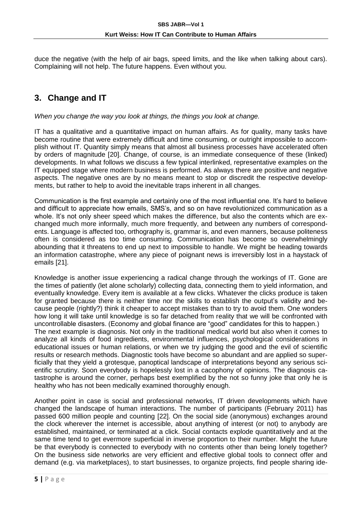duce the negative (with the help of air bags, speed limits, and the like when talking about cars). Complaining will not help. The future happens. Even without you.

## **3. Change and IT**

*When you change the way you look at things, the things you look at change.*

IT has a qualitative and a quantitative impact on human affairs. As for quality, many tasks have become routine that were extremely difficult and time consuming, or outright impossible to accomplish without IT. Quantity simply means that almost all business processes have accelerated often by orders of magnitude [20]. Change, of course, is an immediate consequence of these (linked) developments. In what follows we discuss a few typical interlinked, representative examples on the IT equipped stage where modern business is performed. As always there are positive and negative aspects. The negative ones are by no means meant to stop or discredit the respective developments, but rather to help to avoid the inevitable traps inherent in all changes.

Communication is the first example and certainly one of the most influential one. It's hard to believe and difficult to appreciate how emails, SMS's, and so on have revolutionized communication as a whole. It's not only sheer speed which makes the difference, but also the contents which are exchanged much more informally, much more frequently, and between any numbers of correspondents. Language is affected too, orthography is, grammar is, and even manners, because politeness often is considered as too time consuming. Communication has become so overwhelmingly abounding that it threatens to end up next to impossible to handle. We might be heading towards an information catastrophe, where any piece of poignant news is irreversibly lost in a haystack of emails [21].

Knowledge is another issue experiencing a radical change through the workings of IT. Gone are the times of patiently (let alone scholarly) collecting data, connecting them to yield information, and eventually knowledge. Every item is available at a few clicks. Whatever the clicks produce is taken for granted because there is neither time nor the skills to establish the output's validity and because people (rightly?) think it cheaper to accept mistakes than to try to avoid them. One wonders how long it will take until knowledge is so far detached from reality that we will be confronted with uncontrollable disasters. (Economy and global finance are "good" candidates for this to happen.) The next example is diagnosis. Not only in the traditional medical world but also when it comes to analyze all kinds of food ingredients, environmental influences, psychological considerations in educational issues or human relations, or when we try judging the good and the evil of scientific results or research methods. Diagnostic tools have become so abundant and are applied so superficially that they yield a grotesque, panoptical landscape of interpretations beyond any serious scientific scrutiny. Soon everybody is hopelessly lost in a cacophony of opinions. The diagnosis catastrophe is around the corner, perhaps best exemplified by the not so funny joke that only he is healthy who has not been medically examined thoroughly enough.

Another point in case is social and professional networks, IT driven developments which have changed the landscape of human interactions. The number of participants (February 2011) has passed 600 million people and counting [22]. On the social side (anonymous) exchanges around the clock wherever the internet is accessible, about anything of interest (or not) to anybody are established, maintained, or terminated at a click. Social contacts explode quantitatively and at the same time tend to get evermore superficial in inverse proportion to their number. Might the future be that everybody is connected to everybody with no contents other than being lonely together? On the business side networks are very efficient and effective global tools to connect offer and demand (e.g. via marketplaces), to start businesses, to organize projects, find people sharing ide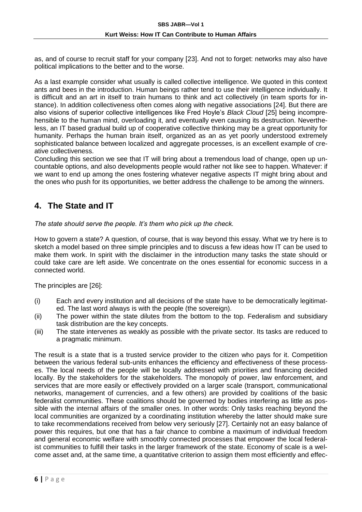as, and of course to recruit staff for your company [23]. And not to forget: networks may also have political implications to the better and to the worse.

As a last example consider what usually is called collective intelligence. We quoted in this context ants and bees in the introduction. Human beings rather tend to use their intelligence individually. It is difficult and an art in itself to train humans to think and act collectively (in team sports for instance). In addition collectiveness often comes along with negative associations [24]. But there are also visions of superior collective intelligences like Fred Hoyle's *Black Cloud* [25] being incomprehensible to the human mind, overloading it, and eventually even causing its destruction. Nevertheless, an IT based gradual build up of cooperative collective thinking may be a great opportunity for humanity. Perhaps the human brain itself, organized as an as yet poorly understood extremely sophisticated balance between localized and aggregate processes, is an excellent example of creative collectiveness.

Concluding this section we see that IT will bring about a tremendous load of change, open up uncountable options, and also developments people would rather not like see to happen. Whatever: if we want to end up among the ones fostering whatever negative aspects IT might bring about and the ones who push for its opportunities, we better address the challenge to be among the winners.

### **4. The State and IT**

*The state should serve the people. It's them who pick up the check.*

How to govern a state? A question, of course, that is way beyond this essay. What we try here is to sketch a model based on three simple principles and to discuss a few ideas how IT can be used to make them work. In spirit with the disclaimer in the introduction many tasks the state should or could take care are left aside. We concentrate on the ones essential for economic success in a connected world.

The principles are [26]:

- (i) Each and every institution and all decisions of the state have to be democratically legitimated. The last word always is with the people (the sovereign).
- (ii) The power within the state dilutes from the bottom to the top. Federalism and subsidiary task distribution are the key concepts.
- (iii) The state intervenes as weakly as possible with the private sector. Its tasks are reduced to a pragmatic minimum.

The result is a state that is a trusted service provider to the citizen who pays for it. Competition between the various federal sub-units enhances the efficiency and effectiveness of these processes. The local needs of the people will be locally addressed with priorities and financing decided locally. By the stakeholders for the stakeholders. The monopoly of power, law enforcement, and services that are more easily or effectively provided on a larger scale (transport, communicational networks, management of currencies, and a few others) are provided by coalitions of the basic federalist communities. These coalitions should be governed by bodies interfering as little as possible with the internal affairs of the smaller ones. In other words: Only tasks reaching beyond the local communities are organized by a coordinating institution whereby the latter should make sure to take recommendations received from below very seriously [27]. Certainly not an easy balance of power this requires, but one that has a fair chance to combine a maximum of individual freedom and general economic welfare with smoothly connected processes that empower the local federalist communities to fulfill their tasks in the larger framework of the state. Economy of scale is a welcome asset and, at the same time, a quantitative criterion to assign them most efficiently and effec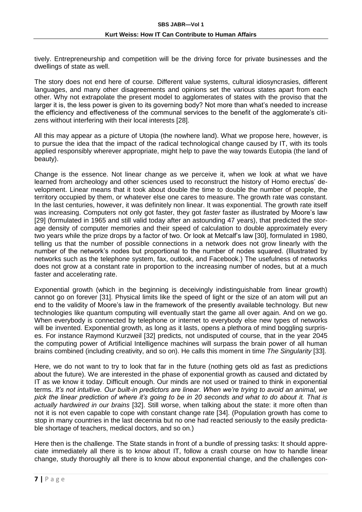tively. Entrepreneurship and competition will be the driving force for private businesses and the dwellings of state as well.

The story does not end here of course. Different value systems, cultural idiosyncrasies, different languages, and many other disagreements and opinions set the various states apart from each other. Why not extrapolate the present model to agglomerates of states with the proviso that the larger it is, the less power is given to its governing body? Not more than what's needed to increase the efficiency and effectiveness of the communal services to the benefit of the agglomerate's citizens without interfering with their local interests [28].

All this may appear as a picture of Utopia (the nowhere land). What we propose here, however, is to pursue the idea that the impact of the radical technological change caused by IT, with its tools applied responsibly wherever appropriate, might help to pave the way towards Eutopia (the land of beauty).

Change is the essence. Not linear change as we perceive it, when we look at what we have learned from archeology and other sciences used to reconstruct the history of Homo erectus' development. Linear means that it took about double the time to double the number of people, the territory occupied by them, or whatever else one cares to measure. The growth rate was constant. In the last centuries, however, it was definitely non linear. It was exponential. The growth rate itself was increasing. Computers not only got faster, they got *faster* faster as illustrated by Moore's law [29] (formulated in 1965 and still valid today after an astounding 47 years), that predicted the storage density of computer memories and their speed of calculation to double approximately every two years while the prize drops by a factor of two. Or look at Metcalf's law [30], formulated in 1980, telling us that the number of possible connections in a network does not grow linearly with the number of the network's nodes but proportional to the number of nodes squared. (Illustrated by networks such as the telephone system, fax, outlook, and Facebook.) The usefulness of networks does not grow at a constant rate in proportion to the increasing number of nodes, but at a much faster and accelerating rate.

Exponential growth (which in the beginning is deceivingly indistinguishable from linear growth) cannot go on forever [31]. Physical limits like the speed of light or the size of an atom will put an end to the validity of Moore's law in the framework of the presently available technology. But new technologies like quantum computing will eventually start the game all over again. And on we go. When everybody is connected by telephone or internet to everybody else new types of networks will be invented. Exponential growth, as long as it lasts, opens a plethora of mind boggling surprises. For instance Raymond Kurzweil [32] predicts, not undisputed of course, that in the year 2045 the computing power of Artificial Intelligence machines will surpass the brain power of all human brains combined (including creativity, and so on). He calls this moment in time *The Singularity* [33].

Here, we do not want to try to look that far in the future (nothing gets old as fast as predictions about the future). We are interested in the phase of exponential growth as caused and dictated by IT as we know it today. Difficult enough. Our minds are not used or trained to think in exponential terms. *It's not intuitive. Our built-in predictors are linear. When we're trying to avoid an animal, we pick the linear prediction of where it's going to be in 20 seconds and what to do about it. That is actually hardwired in our brains* [32]. Still worse, when talking about the state: it more often than not it is not even capable to cope with constant change rate [34]. (Population growth has come to stop in many countries in the last decennia but no one had reacted seriously to the easily predictable shortage of teachers, medical doctors, and so on.)

Here then is the challenge. The State stands in front of a bundle of pressing tasks: It should appreciate immediately all there is to know about IT, follow a crash course on how to handle linear change, study thoroughly all there is to know about exponential change, and the challenges con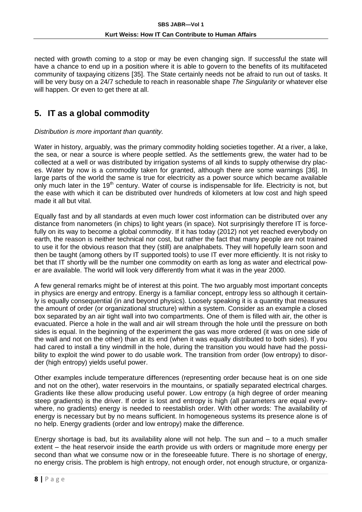nected with growth coming to a stop or may be even changing sign. If successful the state will have a chance to end up in a position where it is able to govern to the benefits of its multifaceted community of taxpaying citizens [35]. The State certainly needs not be afraid to run out of tasks. It will be very busy on a 24/7 schedule to reach in reasonable shape *The Singularity* or whatever else will happen. Or even to get there at all.

## **5. IT as a global commodity**

#### *Distribution is more important than quantity.*

Water in history, arguably, was the primary commodity holding societies together. At a river, a lake, the sea, or near a source is where people settled. As the settlements grew, the water had to be collected at a well or was distributed by irrigation systems of all kinds to supply otherwise dry places. Water by now is a commodity taken for granted, although there are some warnings [36]. In large parts of the world the same is true for electricity as a power source which became available only much later in the  $19<sup>th</sup>$  century. Water of course is indispensable for life. Electricity is not, but the ease with which it can be distributed over hundreds of kilometers at low cost and high speed made it all but vital.

Equally fast and by all standards at even much lower cost information can be distributed over any distance from nanometers (in chips) to light years (in space). Not surprisingly therefore IT is forcefully on its way to become a global commodity. If it has today (2012) not yet reached everybody on earth, the reason is neither technical nor cost, but rather the fact that many people are not trained to use it for the obvious reason that they (still) are analphabets. They will hopefully learn soon and then be taught (among others by IT supported tools) to use IT ever more efficiently. It is not risky to bet that IT shortly will be the number one commodity on earth as long as water and electrical power are available. The world will look very differently from what it was in the year 2000.

A few general remarks might be of interest at this point. The two arguably most important concepts in physics are energy and entropy. Energy is a familiar concept, entropy less so although it certainly is equally consequential (in and beyond physics). Loosely speaking it is a quantity that measures the amount of order (or organizational structure) within a system. Consider as an example a closed box separated by an air tight wall into two compartments. One of them is filled with air, the other is evacuated. Pierce a hole in the wall and air will stream through the hole until the pressure on both sides is equal. In the beginning of the experiment the gas was more ordered (it was on one side of the wall and not on the other) than at its end (when it was equally distributed to both sides). If you had cared to install a tiny windmill in the hole, during the transition you would have had the possibility to exploit the wind power to do usable work. The transition from order (low entropy) to disorder (high entropy) yields useful power.

Other examples include temperature differences (representing order because heat is on one side and not on the other), water reservoirs in the mountains, or spatially separated electrical charges. Gradients like these allow producing useful power. Low entropy (a high degree of order meaning steep gradients) is the driver. If order is lost and entropy is high (all parameters are equal everywhere, no gradients) energy is needed to reestablish order. With other words: The availability of energy is necessary but by no means sufficient. In homogeneous systems its presence alone is of no help. Energy gradients (order and low entropy) make the difference.

Energy shortage is bad, but its availability alone will not help. The sun and – to a much smaller extent – the heat reservoir inside the earth provide us with orders or magnitude more energy per second than what we consume now or in the foreseeable future. There is no shortage of energy, no energy crisis. The problem is high entropy, not enough order, not enough structure, or organiza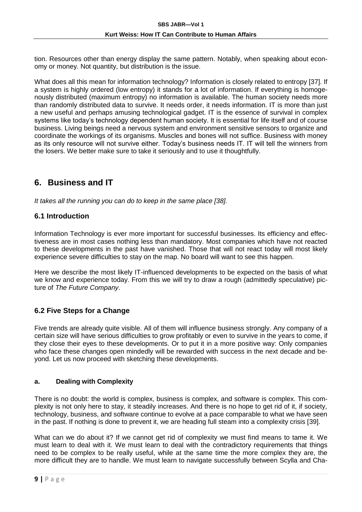tion. Resources other than energy display the same pattern. Notably, when speaking about economy or money. Not quantity, but distribution is the issue.

What does all this mean for information technology? Information is closely related to entropy [37]. If a system is highly ordered (low entropy) it stands for a lot of information. If everything is homogenously distributed (maximum entropy) no information is available. The human society needs more than randomly distributed data to survive. It needs order, it needs information. IT is more than just a new useful and perhaps amusing technological gadget. IT is the essence of survival in complex systems like today's technology dependent human society. It is essential for life itself and of course business. Living beings need a nervous system and environment sensitive sensors to organize and coordinate the workings of its organisms. Muscles and bones will not suffice. Business with money as its only resource will not survive either. Today's business needs IT. IT will tell the winners from the losers. We better make sure to take it seriously and to use it thoughtfully.

### **6. Business and IT**

*It takes all the running you can do to keep in the same place [38].*

#### **6.1 Introduction**

Information Technology is ever more important for successful businesses. Its efficiency and effectiveness are in most cases nothing less than mandatory. Most companies which have not reacted to these developments in the past have vanished. Those that will not react today will most likely experience severe difficulties to stay on the map. No board will want to see this happen.

Here we describe the most likely IT-influenced developments to be expected on the basis of what we know and experience today. From this we will try to draw a rough (admittedly speculative) picture of *The Future Company*.

#### **6.2 Five Steps for a Change**

Five trends are already quite visible. All of them will influence business strongly. Any company of a certain size will have serious difficulties to grow profitably or even to survive in the years to come, if they close their eyes to these developments. Or to put it in a more positive way: Only companies who face these changes open mindedly will be rewarded with success in the next decade and beyond. Let us now proceed with sketching these developments.

#### **a. Dealing with Complexity**

There is no doubt: the world is complex, business is complex, and software is complex. This complexity is not only here to stay, it steadily increases. And there is no hope to get rid of it, if society, technology, business, and software continue to evolve at a pace comparable to what we have seen in the past. If nothing is done to prevent it, we are heading full steam into a complexity crisis [39].

What can we do about it? If we cannot get rid of complexity we must find means to tame it. We must learn to deal with it. We must learn to deal with the contradictory requirements that things need to be complex to be really useful, while at the same time the more complex they are, the more difficult they are to handle. We must learn to navigate successfully between Scylla and Cha-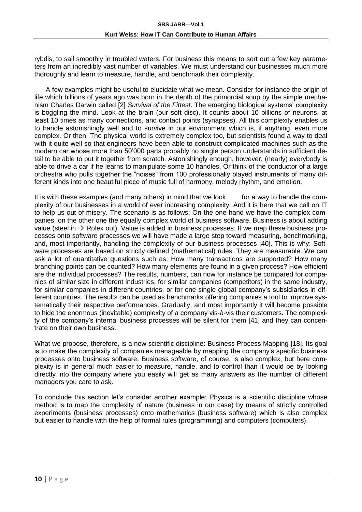rybdis, to sail smoothly in troubled waters. For business this means to sort out a few key parameters from an incredibly vast number of variables. We must understand our businesses much more thoroughly and learn to measure, handle, and benchmark their complexity.

A few examples might be useful to elucidate what we mean. Consider for instance the origin of life which billions of years ago was born in the depth of the primordial soup by the simple mechanism Charles Darwin called [2] *Survival of the Fittest*. The emerging biological systems' complexity is boggling the mind. Look at the brain (our soft disc). It counts about 10 billions of neurons, at least 10 times as many connections, and contact points (synapses). All this complexity enables us to handle astonishingly well and to survive in our environment which is, if anything, even more complex. Or then: The physical world is extremely complex too, but scientists found a way to deal with it quite well so that engineers have been able to construct complicated machines such as the modern car whose more than 50'000 parts probably no single person understands in sufficient detail to be able to put it together from scratch. Astonishingly enough, however, (nearly) everybody is able to drive a car if he learns to manipulate some 10 handles. Or think of the conductor of a large orchestra who pulls together the "noises" from 100 professionally played instruments of many different kinds into one beautiful piece of music full of harmony, melody rhythm, and emotion.

It is with these examples (and many others) in mind that we look for a way to handle the complexity of our businesses in a world of ever increasing complexity. And it is here that we call on IT to help us out of misery. The scenario is as follows: On the one hand we have the complex companies, on the other one the equally complex world of business software. Business is about adding value (steel in  $\rightarrow$  Rolex out). Value is added in business processes. If we map these business processes onto software processes we will have made a large step toward measuring, benchmarking, and, most importantly, handling the complexity of our business processes [40]. This is why: Software processes are based on strictly defined (mathematical) rules. They are measurable. We can ask a lot of quantitative questions such as: How many transactions are supported? How many branching points can be counted? How many elements are found in a given process? How efficient are the individual processes? The results, numbers, can now for instance be compared for companies of similar size in different industries, for similar companies (competitors) in the same industry, for similar companies in different countries, or for one single global company's subsidiaries in different countries. The results can be used as benchmarks offering companies a tool to improve systematically their respective performances. Gradually, and most importantly it will become possible to hide the enormous (inevitable) complexity of a company vis-à-vis their customers. The complexity of the company's internal business processes will be silent for them [41] and they can concentrate on their own business.

What we propose, therefore, is a new scientific discipline: Business Process Mapping [18]. Its goal is to make the complexity of companies manageable by mapping the company's specific business processes onto business software. Business software, of course, is also complex, but here complexity is in general much easier to measure, handle, and to control than it would be by looking directly into the company where you easily will get as many answers as the number of different managers you care to ask.

To conclude this section let's consider another example: Physics is a scientific discipline whose method is to map the complexity of nature (business in our case) by means of strictly controlled experiments (business processes) onto mathematics (business software) which is also complex but easier to handle with the help of formal rules (programming) and computers (computers).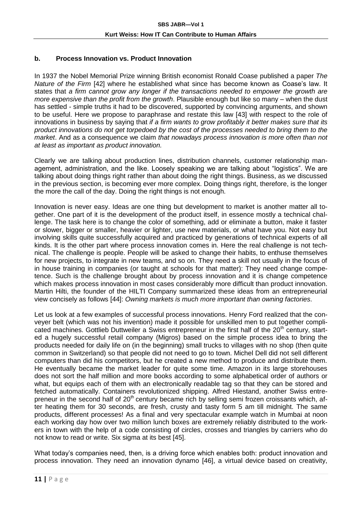#### **b. Process Innovation vs. Product Innovation**

In 1937 the Nobel Memorial Prize winning British economist Ronald Coase published a paper *The Nature of the Firm* [42] where he established what since has become known as Coase's law. It states that *a firm cannot grow any longer if the transactions needed to empower the growth are more expensive than the profit from the growth*. Plausible enough but like so many – when the dust has settled - simple truths it had to be discovered, supported by convincing arguments, and shown to be useful. Here we propose to paraphrase and restate this law [43] with respect to the role of innovations in business by saying that *if a firm wants to grow profitably it better makes sure that its product innovations do not get torpedoed by the cost of the processes needed to bring them to the market*. And as a consequence we claim *that nowadays process innovation is more often than not at least as important as product innovation.*

Clearly we are talking about production lines, distribution channels, customer relationship management, administration, and the like. Loosely speaking we are talking about "logistics". We are talking about doing things right rather than about doing the right things. Business, as we discussed in the previous section, is becoming ever more complex. Doing things right, therefore, is the longer the more the call of the day. Doing the right things is not enough.

Innovation is never easy. Ideas are one thing but development to market is another matter all together. One part of it is the development of the product itself, in essence mostly a technical challenge. The task here is to change the color of something, add or eliminate a button, make it faster or slower, bigger or smaller, heavier or lighter, use new materials, or what have you. Not easy but involving skills quite successfully acquired and practiced by generations of technical experts of all kinds. It is the other part where process innovation comes in. Here the real challenge is not technical. The challenge is people. People will be asked to change their habits, to enthuse themselves for new projects, to integrate in new teams, and so on. They need a skill not usually in the focus of in house training in companies (or taught at schools for that matter): They need change competence. Such is the challenge brought about by process innovation and it is change competence which makes process innovation in most cases considerably more difficult than product innovation. Martin Hilti, the founder of the HILTI Company summarized these ideas from an entrepreneurial view concisely as follows [44]: *Owning markets is much more important than owning factories*.

Let us look at a few examples of successful process innovations. Henry Ford realized that the conveyer belt (which was not his invention) made it possible for unskilled men to put together complicated machines. Gottlieb Duttweiler a Swiss entrepreneur in the first half of the 20<sup>th</sup> century, started a hugely successful retail company (Migros) based on the simple process idea to bring the products needed for daily life on (in the beginning) small trucks to villages with no shop (then quite common in Switzerland) so that people did not need to go to town. Michel Dell did not sell different computers than did his competitors, but he created a new method to produce and distribute them. He eventually became the market leader for quite some time. Amazon in its large storehouses does not sort the half million and more books according to some alphabetical order of authors or what, but equips each of them with an electronically readable tag so that they can be stored and fetched automatically. Containers revolutionized shipping. Alfred Hiestand, another Swiss entrepreneur in the second half of  $20<sup>th</sup>$  century became rich by selling semi frozen croissants which, after heating them for 30 seconds, are fresh, crusty and tasty form 5 am till midnight. The same products, different processes! As a final and very spectacular example watch in Mumbai at noon each working day how over two million lunch boxes are extremely reliably distributed to the workers in town with the help of a code consisting of circles, crosses and triangles by carriers who do not know to read or write. Six sigma at its best [45].

What today's companies need, then, is a driving force which enables both: product innovation and process innovation. They need an innovation dynamo [46], a virtual device based on creativity,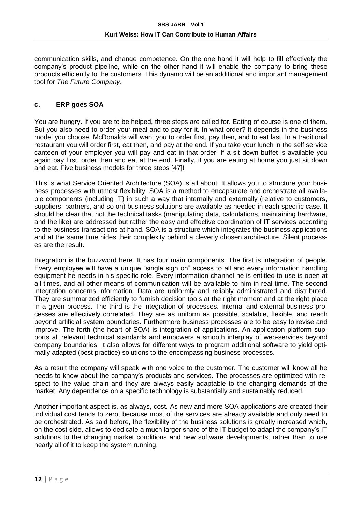communication skills, and change competence. On the one hand it will help to fill effectively the company's product pipeline, while on the other hand it will enable the company to bring these products efficiently to the customers. This dynamo will be an additional and important management tool for *The Future Company*.

#### **c. ERP goes SOA**

You are hungry. If you are to be helped, three steps are called for. Eating of course is one of them. But you also need to order your meal and to pay for it. In what order? It depends in the business model you choose. McDonalds will want you to order first, pay then, and to eat last. In a traditional restaurant you will order first, eat then, and pay at the end. If you take your lunch in the self service canteen of your employer you will pay and eat in that order. If a sit down buffet is available you again pay first, order then and eat at the end. Finally, if you are eating at home you just sit down and eat. Five business models for three steps [47]!

This is what Service Oriented Architecture (SOA) is all about. It allows you to structure your business processes with utmost flexibility. SOA is a method to encapsulate and orchestrate all available components (including IT) in such a way that internally and externally (relative to customers, suppliers, partners, and so on) business solutions are available as needed in each specific case. It should be clear that not the technical tasks (manipulating data, calculations, maintaining hardware, and the like) are addressed but rather the easy and effective coordination of IT services according to the business transactions at hand. SOA is a structure which integrates the business applications and at the same time hides their complexity behind a cleverly chosen architecture. Silent processes are the result.

Integration is the buzzword here. It has four main components. The first is integration of people. Every employee will have a unique "single sign on" access to all and every information handling equipment he needs in his specific role. Every information channel he is entitled to use is open at all times, and all other means of communication will be available to him in real time. The second integration concerns information. Data are uniformly and reliably administrated and distributed. They are summarized efficiently to furnish decision tools at the right moment and at the right place in a given process. The third is the integration of processes. Internal and external business processes are effectively correlated. They are as uniform as possible, scalable, flexible, and reach beyond artificial system boundaries. Furthermore business processes are to be easy to revise and improve. The forth (the heart of SOA) is integration of applications. An application platform supports all relevant technical standards and empowers a smooth interplay of web-services beyond company boundaries. It also allows for different ways to program additional software to yield optimally adapted (best practice) solutions to the encompassing business processes.

As a result the company will speak with one voice to the customer. The customer will know all he needs to know about the company's products and services. The processes are optimized with respect to the value chain and they are always easily adaptable to the changing demands of the market. Any dependence on a specific technology is substantially and sustainably reduced.

Another important aspect is, as always, cost. As new and more SOA applications are created their individual cost tends to zero, because most of the services are already available and only need to be orchestrated. As said before, the flexibility of the business solutions is greatly increased which, on the cost side, allows to dedicate a much larger share of the IT budget to adapt the company's IT solutions to the changing market conditions and new software developments, rather than to use nearly all of it to keep the system running.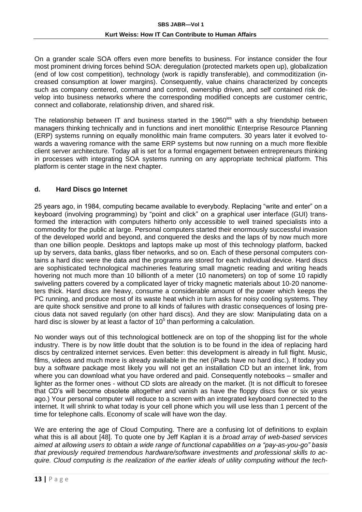On a grander scale SOA offers even more benefits to business. For instance consider the four most prominent driving forces behind SOA: deregulation (protected markets open up), globalization (end of low cost competition), technology (work is rapidly transferable), and commoditization (increased consumption at lower margins). Consequently, value chains characterized by concepts such as company centered, command and control, ownership driven, and self contained risk develop into business networks where the corresponding modified concepts are customer centric, connect and collaborate, relationship driven, and shared risk.

The relationship between IT and business started in the 1960<sup>ies</sup> with a shy friendship between managers thinking technically and in functions and inert monolithic Enterprise Resource Planning (ERP) systems running on equally monolithic main frame computers. 30 years later it evolved towards a wavering romance with the same ERP systems but now running on a much more flexible client server architecture. Today all is set for a formal engagement between entrepreneurs thinking in processes with integrating SOA systems running on any appropriate technical platform. This platform is center stage in the next chapter.

#### **d. Hard Discs go Internet**

25 years ago, in 1984, computing became available to everybody. Replacing "write and enter" on a keyboard (involving programming) by "point and click" on a graphical user interface (GUI) transformed the interaction with computers hitherto only accessible to well trained specialists into a commodity for the public at large. Personal computers started their enormously successful invasion of the developed world and beyond, and conquered the desks and the laps of by now much more than one billion people. Desktops and laptops make up most of this technology platform, backed up by servers, data banks, glass fiber networks, and so on. Each of these personal computers contains a hard disc were the data and the programs are stored for each individual device. Hard discs are sophisticated technological machineries featuring small magnetic reading and writing heads hovering not much more than 10 billionth of a meter (10 nanometers) on top of some 10 rapidly swiveling patters covered by a complicated layer of tricky magnetic materials about 10-20 nanometers thick. Hard discs are heavy, consume a considerable amount of the power which keeps the PC running, and produce most of its waste heat which in turn asks for noisy cooling systems. They are quite shock sensitive and prone to all kinds of failures with drastic consequences of losing precious data not saved regularly (on other hard discs). And they are slow: Manipulating data on a hard disc is slower by at least a factor of  $10<sup>5</sup>$  than performing a calculation.

No wonder ways out of this technological bottleneck are on top of the shopping list for the whole industry. There is by now little doubt that the solution is to be found in the idea of replacing hard discs by centralized internet services. Even better: this development is already in full flight. Music, films, videos and much more is already available in the net (iPads have no hard disc.). If today you buy a software package most likely you will not get an installation CD but an internet link, from where you can download what you have ordered and paid. Consequently notebooks – smaller and lighter as the former ones - without CD slots are already on the market. (It is not difficult to foresee that CD's will become obsolete altogether and vanish as have the floppy discs five or six years ago.) Your personal computer will reduce to a screen with an integrated keyboard connected to the internet. It will shrink to what today is your cell phone which you will use less than 1 percent of the time for telephone calls. Economy of scale will have won the day.

We are entering the age of Cloud Computing. There are a confusing lot of definitions to explain what this is all about [48]. To quote one by Jeff Kaplan it is *a broad array of web-based services aimed at allowing users to obtain a wide range of functional capabilities on a "pay-as-you-go" basis that previously required tremendous hardware/software investments and professional skills to acquire. Cloud computing is the realization of the earlier ideals of utility computing without the tech-*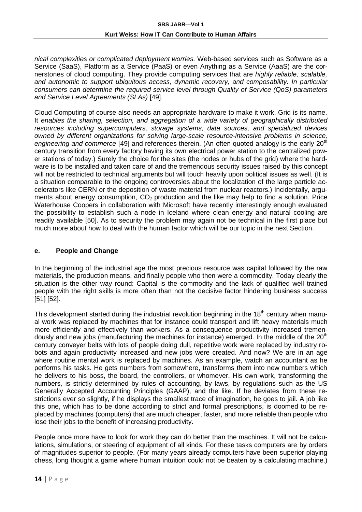*nical complexities or complicated deployment worries.* Web-based services such as Software as a Service (SaaS), Platform as a Service (PaaS) or even Anything as a Service (AaaS) are the cornerstones of cloud computing. They provide computing services that are *highly reliable, scalable, and autonomic to support ubiquitous access, dynamic recovery, and composability. In particular consumers can determine the required service level through Quality of Service (QoS) parameters and Service Level Agreements (SLAs)* [49].

Cloud Computing of course also needs an appropriate hardware to make it work. Grid is its name. It *enables the sharing, selection, and aggregation of a wide variety of geographically distributed resources including supercomputers, storage systems, data sources, and specialized devices owned by different organizations for solving large-scale resource-intensive problems in science,*  engineering and commerce [49] and references therein. (An often quoted analogy is the early 20<sup>th</sup> century transition from every factory having its own electrical power station to the centralized power stations of today.) Surely the choice for the sites (the nodes or hubs of the grid) where the hardware is to be installed and taken care of and the tremendous security issues raised by this concept will not be restricted to technical arguments but will touch heavily upon political issues as well. (It is a situation comparable to the ongoing controversies about the localization of the large particle accelerators like CERN or the deposition of waste material from nuclear reactors.) Incidentally, arguments about energy consumption,  $CO<sub>2</sub>$  production and the like may help to find a solution. Price Waterhouse Coopers in collaboration with Microsoft have recently interestingly enough evaluated the possibility to establish such a node in Iceland where clean energy and natural cooling are readily available [50]. As to security the problem may again not be technical in the first place but much more about how to deal with the human factor which will be our topic in the next Section.

#### **e. People and Change**

In the beginning of the industrial age the most precious resource was capital followed by the raw materials, the production means, and finally people who then were a commodity. Today clearly the situation is the other way round: Capital is the commodity and the lack of qualified well trained people with the right skills is more often than not the decisive factor hindering business success [51] [52].

This development started during the industrial revolution beginning in the  $18<sup>th</sup>$  century when manual work was replaced by machines that for instance could transport and lift heavy materials much more efficiently and effectively than workers. As a consequence productivity increased tremendously and new jobs (manufacturing the machines for instance) emerged. In the middle of the 20<sup>th</sup> century conveyer belts with lots of people doing dull, repetitive work were replaced by industry robots and again productivity increased and new jobs were created. And now? We are in an age where routine mental work is replaced by machines. As an example, watch an accountant as he performs his tasks. He gets numbers from somewhere, transforms them into new numbers which he delivers to his boss, the board, the controllers, or whomever. His own work, transforming the numbers, is strictly determined by rules of accounting, by laws, by regulations such as the US Generally Accepted Accounting Principles (GAAP), and the like. If he deviates from these restrictions ever so slightly, if he displays the smallest trace of imagination, he goes to jail. A job like this one, which has to be done according to strict and formal prescriptions, is doomed to be replaced by machines (computers) that are much cheaper, faster, and more reliable than people who lose their jobs to the benefit of increasing productivity.

People once more have to look for work they can do better than the machines. It will not be calculations, simulations, or steering of equipment of all kinds. For these tasks computers are by orders of magnitudes superior to people. (For many years already computers have been superior playing chess, long thought a game where human intuition could not be beaten by a calculating machine.)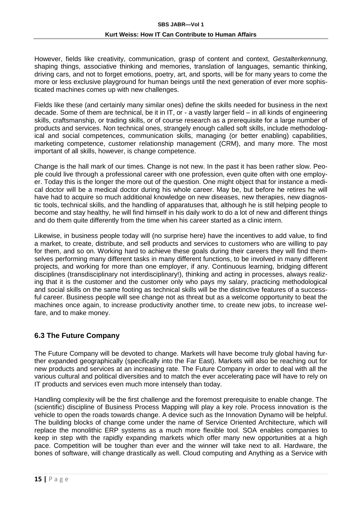However, fields like creativity, communication, grasp of content and context, *Gestalterkennung*, shaping things, associative thinking and memories, translation of languages, semantic thinking, driving cars, and not to forget emotions, poetry, art, and sports, will be for many years to come the more or less exclusive playground for human beings until the next generation of ever more sophisticated machines comes up with new challenges.

Fields like these (and certainly many similar ones) define the skills needed for business in the next decade. Some of them are technical, be it in IT, or - a vastly larger field – in all kinds of engineering skills, craftsmanship, or trading skills, or of course research as a prerequisite for a large number of products and services. Non technical ones, strangely enough called soft skills, include methodological and social competences, communication skills, managing (or better enabling) capabilities, marketing competence, customer relationship management (CRM), and many more. The most important of all skills, however, is change competence.

Change is the hall mark of our times. Change is not new. In the past it has been rather slow. People could live through a professional career with one profession, even quite often with one employer. Today this is the longer the more out of the question. One might object that for instance a medical doctor will be a medical doctor during his whole career. May be, but before he retires he will have had to acquire so much additional knowledge on new diseases, new therapies, new diagnostic tools, technical skills, and the handling of apparatuses that, although he is still helping people to become and stay healthy, he will find himself in his daily work to do a lot of new and different things and do them quite differently from the time when his career started as a clinic intern.

Likewise, in business people today will (no surprise here) have the incentives to add value, to find a market, to create, distribute, and sell products and services to customers who are willing to pay for them, and so on. Working hard to achieve these goals during their careers they will find themselves performing many different tasks in many different functions, to be involved in many different projects, and working for more than one employer, if any. Continuous learning, bridging different disciplines (transdisciplinary not interdisciplinary!), thinking and acting in processes, always realizing that it is the customer and the customer only who pays my salary, practicing methodological and social skills on the same footing as technical skills will be the distinctive features of a successful career. Business people will see change not as threat but as a welcome opportunity to beat the machines once again, to increase productivity another time, to create new jobs, to increase welfare, and to make money.

#### **6.3 The Future Company**

The Future Company will be devoted to change. Markets will have become truly global having further expanded geographically (specifically into the Far East). Markets will also be reaching out for new products and services at an increasing rate. The Future Company in order to deal with all the various cultural and political diversities and to match the ever accelerating pace will have to rely on IT products and services even much more intensely than today.

Handling complexity will be the first challenge and the foremost prerequisite to enable change. The (scientific) discipline of Business Process Mapping will play a key role. Process innovation is the vehicle to open the roads towards change. A device such as the Innovation Dynamo will be helpful. The building blocks of change come under the name of Service Oriented Architecture, which will replace the monolithic ERP systems as a much more flexible tool. SOA enables companies to keep in step with the rapidly expanding markets which offer many new opportunities at a high pace. Competition will be tougher than ever and the winner will take next to all. Hardware, the bones of software, will change drastically as well. Cloud computing and Anything as a Service with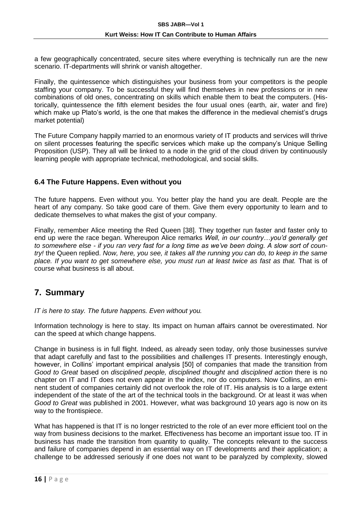a few geographically concentrated, secure sites where everything is technically run are the new scenario. IT-departments will shrink or vanish altogether.

Finally, the quintessence which distinguishes your business from your competitors is the people staffing your company. To be successful they will find themselves in new professions or in new combinations of old ones, concentrating on skills which enable them to beat the computers. (Historically, quintessence the fifth element besides the four usual ones (earth, air, water and fire) which make up Plato's world, is the one that makes the difference in the medieval chemist's drugs market potential)

The Future Company happily married to an enormous variety of IT products and services will thrive on silent processes featuring the specific services which make up the company's Unique Selling Proposition (USP). They all will be linked to a node in the grid of the cloud driven by continuously learning people with appropriate technical, methodological, and social skills.

#### **6.4 The Future Happens. Even without you**

The future happens. Even without you. You better play the hand you are dealt. People are the heart of any company. So take good care of them. Give them every opportunity to learn and to dedicate themselves to what makes the gist of your company.

Finally, remember Alice meeting the Red Queen [38]. They together run faster and faster only to end up were the race began. Whereupon Alice remarks *Well, in our country…you'd generally get to somewhere else - if you ran very fast for a long time as we've been doing. A slow sort of country!* the Queen replied. *Now, here, you see, it takes all the running you can do, to keep in the same place. If you want to get somewhere else, you must run at least twice as fast as that.* That is of course what business is all about.

### **7. Summary**

*IT is here to stay. The future happens. Even without you.*

Information technology is here to stay. Its impact on human affairs cannot be overestimated. Nor can the speed at which change happens.

Change in business is in full flight. Indeed, as already seen today, only those businesses survive that adapt carefully and fast to the possibilities and challenges IT presents. Interestingly enough, however, in Collins' important empirical analysis [50] of companies that made the transition from *Good to Great* based on *disciplined people, disciplined thought* and *disciplined action* there is no chapter on IT and IT does not even appear in the index, nor do computers. Now Collins, an eminent student of companies certainly did not overlook the role of IT. His analysis is to a large extent independent of the state of the art of the technical tools in the background. Or at least it was when *Good to Great* was published in 2001. However, what was background 10 years ago is now on its way to the frontispiece.

What has happened is that IT is no longer restricted to the role of an ever more efficient tool on the way from business decisions to the market. Effectiveness has become an important issue too. IT in business has made the transition from quantity to quality. The concepts relevant to the success and failure of companies depend in an essential way on IT developments and their application; a challenge to be addressed seriously if one does not want to be paralyzed by complexity, slowed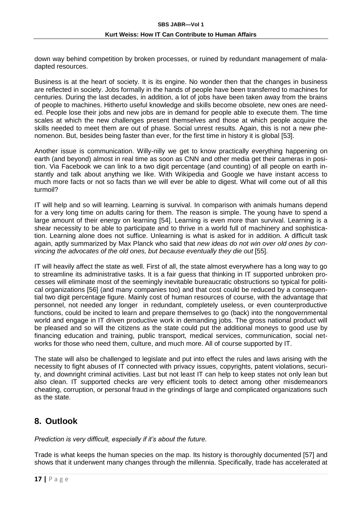down way behind competition by broken processes, or ruined by redundant management of maladapted resources.

Business is at the heart of society. It is its engine. No wonder then that the changes in business are reflected in society. Jobs formally in the hands of people have been transferred to machines for centuries. During the last decades, in addition, a lot of jobs have been taken away from the brains of people to machines. Hitherto useful knowledge and skills become obsolete, new ones are needed. People lose their jobs and new jobs are in demand for people able to execute them. The time scales at which the new challenges present themselves and those at which people acquire the skills needed to meet them are out of phase. Social unrest results. Again, this is not a new phenomenon. But, besides being faster than ever, for the first time in history it is global [53].

Another issue is communication. Willy-nilly we get to know practically everything happening on earth (and beyond) almost in real time as soon as CNN and other media get their cameras in position. Via Facebook we can link to a two digit percentage (and counting) of all people on earth instantly and talk about anything we like. With Wikipedia and Google we have instant access to much more facts or not so facts than we will ever be able to digest. What will come out of all this turmoil?

IT will help and so will learning. Learning is survival. In comparison with animals humans depend for a very long time on adults caring for them. The reason is simple. The young have to spend a large amount of their energy on learning [54]. Learning is even more than survival. Learning is a shear necessity to be able to participate and to thrive in a world full of machinery and sophistication. Learning alone does not suffice. Unlearning is what is asked for in addition. A difficult task again, aptly summarized by Max Planck who said that *new ideas do not win over old ones by convincing the advocates of the old ones, but because eventually they die out* [55].

IT will heavily affect the state as well. First of all, the state almost everywhere has a long way to go to streamline its administrative tasks. It is a fair guess that thinking in IT supported unbroken processes will eliminate most of the seemingly inevitable bureaucratic obstructions so typical for political organizations [56] (and many companies too) and that cost could be reduced by a consequential two digit percentage figure. Mainly cost of human resources of course, with the advantage that personnel, not needed any longer in redundant, completely useless, or even counterproductive functions, could be incited to learn and prepare themselves to go (back) into the nongovernmental world and engage in IT driven productive work in demanding jobs. The gross national product will be pleased and so will the citizens as the state could put the additional moneys to good use by financing education and training, public transport, medical services, communication, social networks for those who need them, culture, and much more. All of course supported by IT.

The state will also be challenged to legislate and put into effect the rules and laws arising with the necessity to fight abuses of IT connected with privacy issues, copyrights, patent violations, security, and downright criminal activities. Last but not least IT can help to keep states not only lean but also clean. IT supported checks are very efficient tools to detect among other misdemeanors cheating, corruption, or personal fraud in the grindings of large and complicated organizations such as the state.

### **8. Outlook**

*Prediction is very difficult, especially if it's about the future.*

Trade is what keeps the human species on the map. Its history is thoroughly documented [57] and shows that it underwent many changes through the millennia. Specifically, trade has accelerated at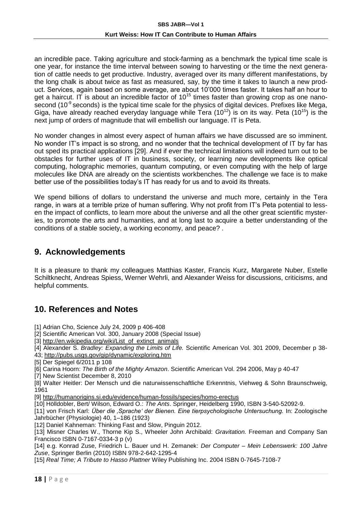an incredible pace. Taking agriculture and stock-farming as a benchmark the typical time scale is one year, for instance the time interval between sowing to harvesting or the time the next generation of cattle needs to get productive. Industry, averaged over its many different manifestations, by the long chalk is about twice as fast as measured, say, by the time it takes to launch a new product. Services, again based on some average, are about 10'000 times faster. It takes half an hour to get a haircut. IT is about an incredible factor of  $10^{15}$  times faster than growing crop as one nanosecond (10<sup>-9</sup> seconds) is the typical time scale for the physics of digital devices. Prefixes like Mega, Giga, have already reached everyday language while Tera  $(10^{12})$  is on its way. Peta  $(10^{15})$  is the next jump of orders of magnitude that will embellish our language. IT is Peta.

No wonder changes in almost every aspect of human affairs we have discussed are so imminent. No wonder IT's impact is so strong, and no wonder that the technical development of IT by far has out sped its practical applications [29]. And if ever the technical limitations will indeed turn out to be obstacles for further uses of IT in business, society, or learning new developments like optical computing, holographic memories, quantum computing, or even computing with the help of large molecules like DNA are already on the scientists workbenches. The challenge we face is to make better use of the possibilities today's IT has ready for us and to avoid its threats.

We spend billions of dollars to understand the universe and much more, certainly in the Tera range, in wars at a terrible prize of human suffering. Why not profit from IT's Peta potential to lessen the impact of conflicts, to learn more about the universe and all the other great scientific mysteries, to promote the arts and humanities, and at long last to acquire a better understanding of the conditions of a stable society, a working economy, and peace? .

### **9. Acknowledgements**

It is a pleasure to thank my colleagues Matthias Kaster, Francis Kurz, Margarete Nuber, Estelle Schiltknecht, Andreas Spiess, Werner Wehrli, and Alexander Weiss for discussions, criticisms, and helpful comments.

# **10. References and Notes**

- [1] Adrian Cho, Science July 24, 2009 p 406-408
- [2] Scientific American Vol. 300, January 2008 (Special Issue)
- [3] [http://en.wikipedia.org/wiki/List\\_of\\_extinct\\_animals](http://en.wikipedia.org/wiki/List_of_extinct_animals)
- [4] Alexander S. *Bradley: Expanding the Limits of Life.* Scientific American Vol. 301 2009, December p 38- 43;<http://pubs.usgs.gov/gip/dynamic/exploring.htm>
- [5] Der Spiegel 6/2011 p 108
- [6] Carina Hoorn: *The Birth of the Mighty Amazon*. Scientific American Vol. 294 2006, May p 40-47

[7] New Scientist December 8, 2010

[8] Walter Heitler: Der Mensch und die naturwissenschaftliche Erkenntnis, Viehweg & Sohn Braunschweig, 1961

- [9]<http://humanorigins.si.edu/evidence/human-fossils/species/homo-erectus>
- [10] Hölldobler, Bert/ Wilson, Edward O.: *The Ants*. Springer, Heidelberg 1990, ISBN 3-540-52092-9.
- [11] von Frisch Karl: *Über die 'Sprache' der Bienen. Eine tierpsychologische Untersuchung.* In: Zoologische Jahrbücher (Physiologie) 40, 1–186 (1923)
- [12] Daniel Kahneman: Thinking Fast and Slow, Pinguin 2012.
- [13] Misner Charles W., Thorne Kip S., Wheeler John Archibald: *Gravitation.* Freeman and Company San Francisco ISBN 0-7167-0334-3 p (v)

[14] e.g. Konrad Zuse, Friedrich L. Bauer und H. Zemanek: *Der Computer – Mein Lebenswerk: 100 Jahre Zuse*, Springer Berlin (2010) ISBN 978-2-642-1295-4

[15] *Real Time; A Tribute to Hasso Plattner* Wiley Publishing Inc. 2004 ISBN 0-7645-7108-7